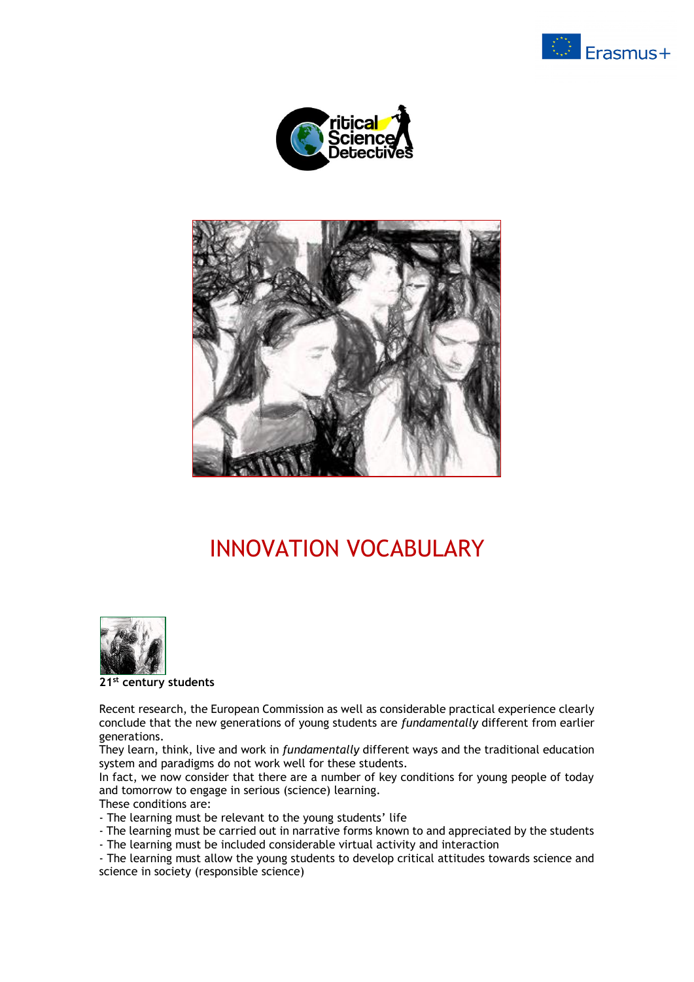





# INNOVATION VOCABULARY



**21st century students**

Recent research, the European Commission as well as considerable practical experience clearly conclude that the new generations of young students are *fundamentally* different from earlier generations.

They learn, think, live and work in *fundamentally* different ways and the traditional education system and paradigms do not work well for these students.

In fact, we now consider that there are a number of key conditions for young people of today and tomorrow to engage in serious (science) learning.

These conditions are:

- The learning must be relevant to the young students' life

- The learning must be carried out in narrative forms known to and appreciated by the students
- The learning must be included considerable virtual activity and interaction

- The learning must allow the young students to develop critical attitudes towards science and science in society (responsible science)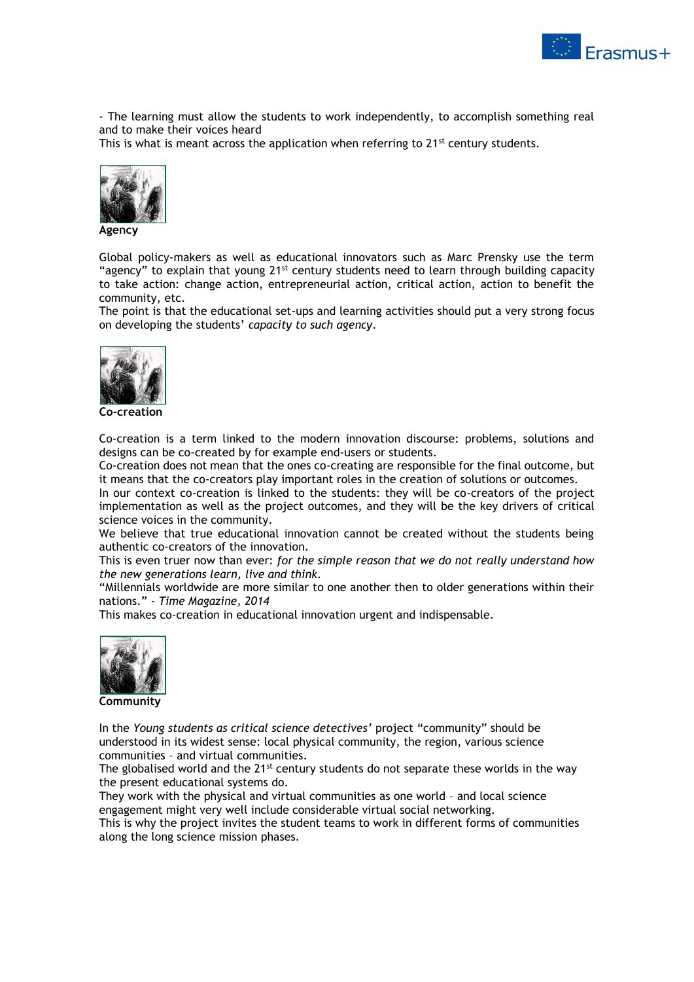

- The learning must allow the students to work independently, to accomplish something real and to make their voices heard

This is what is meant across the application when referring to  $21^{st}$  century students.



**Agency**

Global policy-makers as well as educational innovators such as Marc Prensky use the term "agency" to explain that young  $21^{st}$  century students need to learn through building capacity to take action: change action, entrepreneurial action, critical action, action to benefit the community, etc.

The point is that the educational set-ups and learning activities should put a very strong focus on developing the students' *capacity to such agency*.



**Co-creation**

Co-creation is a term linked to the modern innovation discourse: problems, solutions and designs can be co-created by for example end-users or students.

Co-creation does not mean that the ones co-creating are responsible for the final outcome, but it means that the co-creators play important roles in the creation of solutions or outcomes.

In our context co-creation is linked to the students: they will be co-creators of the project implementation as well as the project outcomes, and they will be the key drivers of critical science voices in the community.

We believe that true educational innovation cannot be created without the students being authentic co-creators of the innovation.

This is even truer now than ever: *for the simple reason that we do not really understand how the new generations learn, live and think.*

"Millennials worldwide are more similar to one another then to older generations within their nations." - *Time Magazine, 2014*

This makes co-creation in educational innovation urgent and indispensable.



**Community**

In the *Young students as critical science detectives'* project "community" should be understood in its widest sense: local physical community, the region, various science communities – and virtual communities.

The globalised world and the  $21^{st}$  century students do not separate these worlds in the way the present educational systems do.

They work with the physical and virtual communities as one world – and local science engagement might very well include considerable virtual social networking.

This is why the project invites the student teams to work in different forms of communities along the long science mission phases.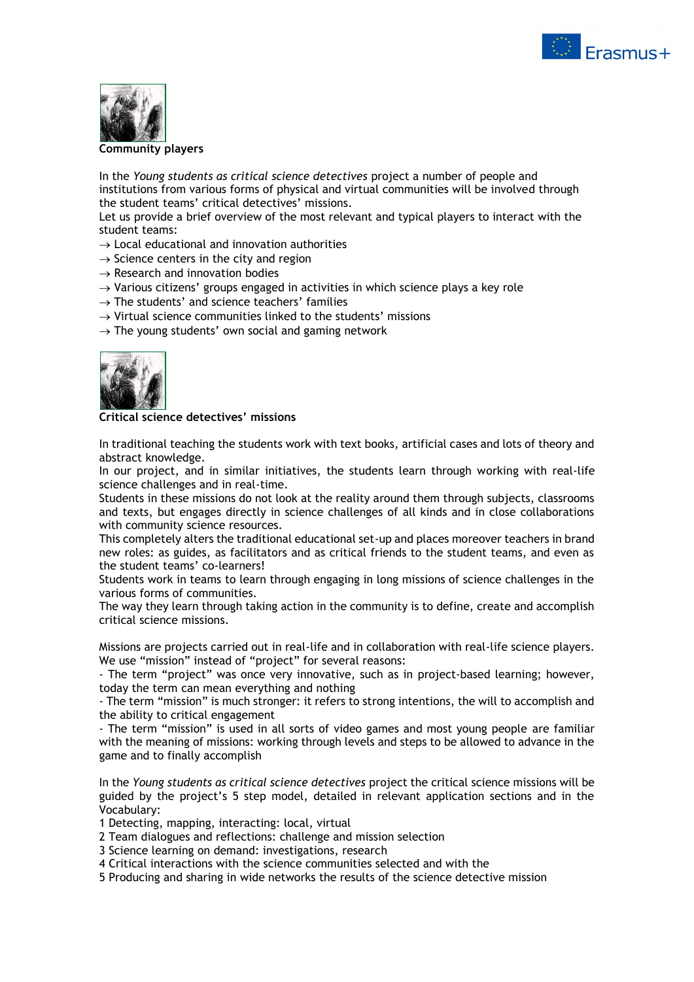



#### **Community players**

In the *Young students as critical science detectives* project a number of people and institutions from various forms of physical and virtual communities will be involved through the student teams' critical detectives' missions.

Let us provide a brief overview of the most relevant and typical players to interact with the student teams:

 $\rightarrow$  Local educational and innovation authorities

 $\rightarrow$  Science centers in the city and region

- $\rightarrow$  Research and innovation bodies
- $\rightarrow$  Various citizens' groups engaged in activities in which science plays a key role
- $\rightarrow$  The students' and science teachers' families
- $\rightarrow$  Virtual science communities linked to the students' missions
- $\rightarrow$  The young students' own social and gaming network



**Critical science detectives' missions**

In traditional teaching the students work with text books, artificial cases and lots of theory and abstract knowledge.

In our project, and in similar initiatives, the students learn through working with real-life science challenges and in real-time.

Students in these missions do not look at the reality around them through subjects, classrooms and texts, but engages directly in science challenges of all kinds and in close collaborations with community science resources.

This completely alters the traditional educational set-up and places moreover teachers in brand new roles: as guides, as facilitators and as critical friends to the student teams, and even as the student teams' co-learners!

Students work in teams to learn through engaging in long missions of science challenges in the various forms of communities.

The way they learn through taking action in the community is to define, create and accomplish critical science missions.

Missions are projects carried out in real-life and in collaboration with real-life science players. We use "mission" instead of "project" for several reasons:

- The term "project" was once very innovative, such as in project-based learning; however, today the term can mean everything and nothing

- The term "mission" is much stronger: it refers to strong intentions, the will to accomplish and the ability to critical engagement

- The term "mission" is used in all sorts of video games and most young people are familiar with the meaning of missions: working through levels and steps to be allowed to advance in the game and to finally accomplish

In the *Young students as critical science detectives* project the critical science missions will be guided by the project's 5 step model, detailed in relevant application sections and in the Vocabulary:

1 Detecting, mapping, interacting: local, virtual

- 2 Team dialogues and reflections: challenge and mission selection
- 3 Science learning on demand: investigations, research
- 4 Critical interactions with the science communities selected and with the

5 Producing and sharing in wide networks the results of the science detective mission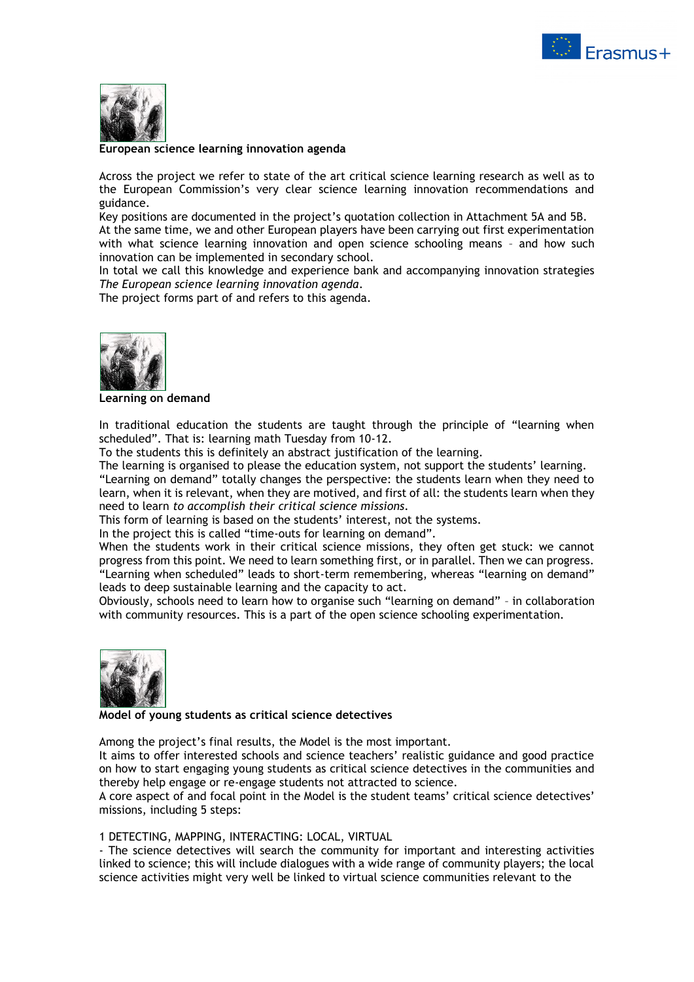



**European science learning innovation agenda**

Across the project we refer to state of the art critical science learning research as well as to the European Commission's very clear science learning innovation recommendations and guidance.

Key positions are documented in the project's quotation collection in Attachment 5A and 5B. At the same time, we and other European players have been carrying out first experimentation with what science learning innovation and open science schooling means – and how such innovation can be implemented in secondary school.

In total we call this knowledge and experience bank and accompanying innovation strategies *The European science learning innovation agenda*.

The project forms part of and refers to this agenda.



**Learning on demand**

In traditional education the students are taught through the principle of "learning when scheduled". That is: learning math Tuesday from 10-12.

To the students this is definitely an abstract justification of the learning.

The learning is organised to please the education system, not support the students' learning. "Learning on demand" totally changes the perspective: the students learn when they need to learn, when it is relevant, when they are motived, and first of all: the students learn when they need to learn *to accomplish their critical science missions*.

This form of learning is based on the students' interest, not the systems.

In the project this is called "time-outs for learning on demand".

When the students work in their critical science missions, they often get stuck: we cannot progress from this point. We need to learn something first, or in parallel. Then we can progress. "Learning when scheduled" leads to short-term remembering, whereas "learning on demand" leads to deep sustainable learning and the capacity to act.

Obviously, schools need to learn how to organise such "learning on demand" – in collaboration with community resources. This is a part of the open science schooling experimentation.



# **Model of young students as critical science detectives**

Among the project's final results, the Model is the most important.

It aims to offer interested schools and science teachers' realistic guidance and good practice on how to start engaging young students as critical science detectives in the communities and thereby help engage or re-engage students not attracted to science.

A core aspect of and focal point in the Model is the student teams' critical science detectives' missions, including 5 steps:

# 1 DETECTING, MAPPING, INTERACTING: LOCAL, VIRTUAL

- The science detectives will search the community for important and interesting activities linked to science; this will include dialogues with a wide range of community players; the local science activities might very well be linked to virtual science communities relevant to the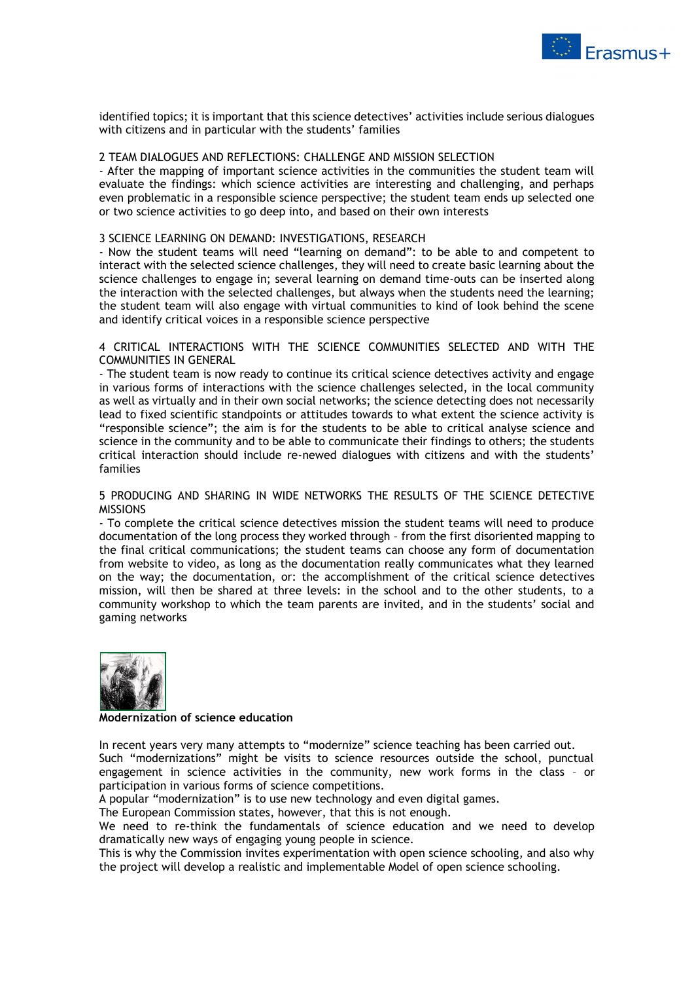

identified topics; it is important that this science detectives' activities include serious dialogues with citizens and in particular with the students' families

# 2 TEAM DIALOGUES AND REFLECTIONS: CHALLENGE AND MISSION SELECTION

- After the mapping of important science activities in the communities the student team will evaluate the findings: which science activities are interesting and challenging, and perhaps even problematic in a responsible science perspective; the student team ends up selected one or two science activities to go deep into, and based on their own interests

# 3 SCIENCE LEARNING ON DEMAND: INVESTIGATIONS, RESEARCH

- Now the student teams will need "learning on demand": to be able to and competent to interact with the selected science challenges, they will need to create basic learning about the science challenges to engage in; several learning on demand time-outs can be inserted along the interaction with the selected challenges, but always when the students need the learning; the student team will also engage with virtual communities to kind of look behind the scene and identify critical voices in a responsible science perspective

4 CRITICAL INTERACTIONS WITH THE SCIENCE COMMUNITIES SELECTED AND WITH THE COMMUNITIES IN GENERAL

- The student team is now ready to continue its critical science detectives activity and engage in various forms of interactions with the science challenges selected, in the local community as well as virtually and in their own social networks; the science detecting does not necessarily lead to fixed scientific standpoints or attitudes towards to what extent the science activity is "responsible science"; the aim is for the students to be able to critical analyse science and science in the community and to be able to communicate their findings to others; the students critical interaction should include re-newed dialogues with citizens and with the students' families

5 PRODUCING AND SHARING IN WIDE NETWORKS THE RESULTS OF THE SCIENCE DETECTIVE MISSIONS

- To complete the critical science detectives mission the student teams will need to produce documentation of the long process they worked through – from the first disoriented mapping to the final critical communications; the student teams can choose any form of documentation from website to video, as long as the documentation really communicates what they learned on the way; the documentation, or: the accomplishment of the critical science detectives mission, will then be shared at three levels: in the school and to the other students, to a community workshop to which the team parents are invited, and in the students' social and gaming networks



#### **Modernization of science education**

In recent years very many attempts to "modernize" science teaching has been carried out. Such "modernizations" might be visits to science resources outside the school, punctual engagement in science activities in the community, new work forms in the class – or participation in various forms of science competitions.

A popular "modernization" is to use new technology and even digital games.

The European Commission states, however, that this is not enough.

We need to re-think the fundamentals of science education and we need to develop dramatically new ways of engaging young people in science.

This is why the Commission invites experimentation with open science schooling, and also why the project will develop a realistic and implementable Model of open science schooling.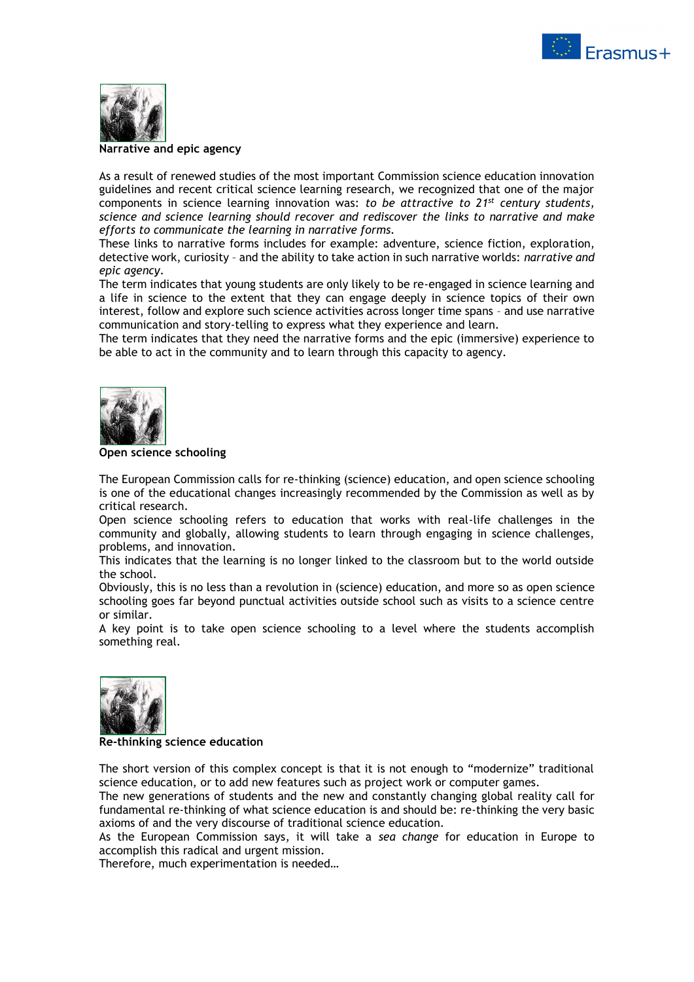



#### **Narrative and epic agency**

As a result of renewed studies of the most important Commission science education innovation guidelines and recent critical science learning research, we recognized that one of the major components in science learning innovation was: *to be attractive to 21st century students, science and science learning should recover and rediscover the links to narrative and make efforts to communicate the learning in narrative forms.*

These links to narrative forms includes for example: adventure, science fiction, exploration, detective work, curiosity – and the ability to take action in such narrative worlds: *narrative and epic agency*.

The term indicates that young students are only likely to be re-engaged in science learning and a life in science to the extent that they can engage deeply in science topics of their own interest, follow and explore such science activities across longer time spans – and use narrative communication and story-telling to express what they experience and learn.

The term indicates that they need the narrative forms and the epic (immersive) experience to be able to act in the community and to learn through this capacity to agency.



#### **Open science schooling**

The European Commission calls for re-thinking (science) education, and open science schooling is one of the educational changes increasingly recommended by the Commission as well as by critical research.

Open science schooling refers to education that works with real-life challenges in the community and globally, allowing students to learn through engaging in science challenges, problems, and innovation.

This indicates that the learning is no longer linked to the classroom but to the world outside the school.

Obviously, this is no less than a revolution in (science) education, and more so as open science schooling goes far beyond punctual activities outside school such as visits to a science centre or similar.

A key point is to take open science schooling to a level where the students accomplish something real.



#### **Re-thinking science education**

The short version of this complex concept is that it is not enough to "modernize" traditional science education, or to add new features such as project work or computer games.

The new generations of students and the new and constantly changing global reality call for fundamental re-thinking of what science education is and should be: re-thinking the very basic axioms of and the very discourse of traditional science education.

As the European Commission says, it will take a *sea change* for education in Europe to accomplish this radical and urgent mission.

Therefore, much experimentation is needed…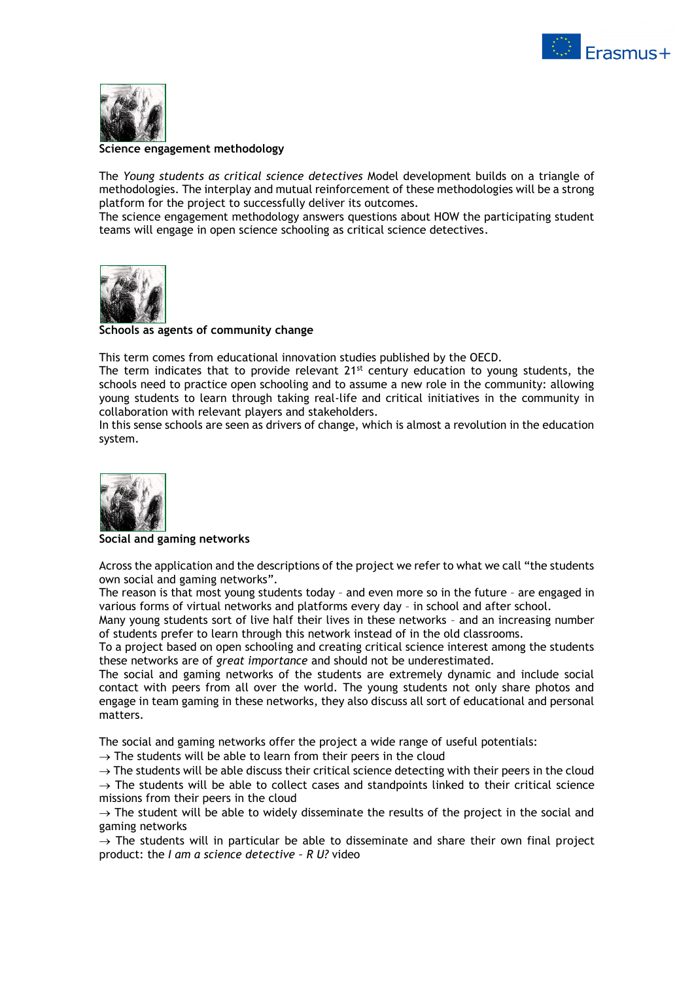



# **Science engagement methodology**

The *Young students as critical science detectives* Model development builds on a triangle of methodologies. The interplay and mutual reinforcement of these methodologies will be a strong platform for the project to successfully deliver its outcomes.

The science engagement methodology answers questions about HOW the participating student teams will engage in open science schooling as critical science detectives.



# **Schools as agents of community change**

This term comes from educational innovation studies published by the OECD.

The term indicates that to provide relevant  $21^{st}$  century education to young students, the schools need to practice open schooling and to assume a new role in the community: allowing young students to learn through taking real-life and critical initiatives in the community in collaboration with relevant players and stakeholders.

In this sense schools are seen as drivers of change, which is almost a revolution in the education system.



#### **Social and gaming networks**

Across the application and the descriptions of the project we refer to what we call "the students own social and gaming networks".

The reason is that most young students today – and even more so in the future – are engaged in various forms of virtual networks and platforms every day – in school and after school.

Many young students sort of live half their lives in these networks – and an increasing number of students prefer to learn through this network instead of in the old classrooms.

To a project based on open schooling and creating critical science interest among the students these networks are of *great importance* and should not be underestimated.

The social and gaming networks of the students are extremely dynamic and include social contact with peers from all over the world. The young students not only share photos and engage in team gaming in these networks, they also discuss all sort of educational and personal matters.

The social and gaming networks offer the project a wide range of useful potentials:

 $\rightarrow$  The students will be able to learn from their peers in the cloud

 $\rightarrow$  The students will be able discuss their critical science detecting with their peers in the cloud  $\rightarrow$  The students will be able to collect cases and standpoints linked to their critical science

missions from their peers in the cloud

 $\rightarrow$  The student will be able to widely disseminate the results of the project in the social and gaming networks

 $\rightarrow$  The students will in particular be able to disseminate and share their own final project product: the *I am a science detective – R U?* video